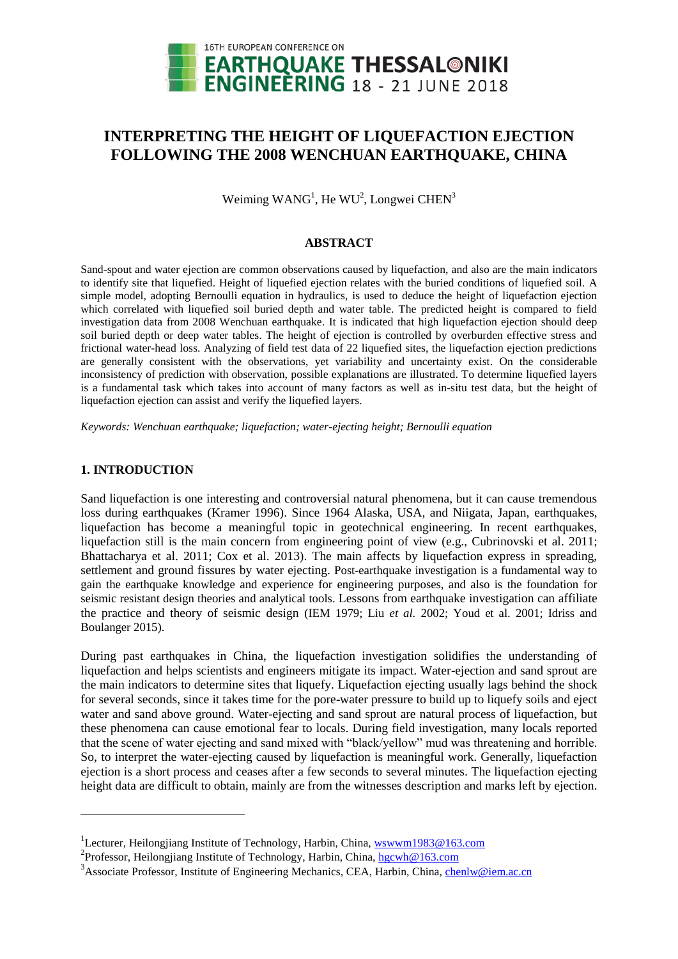

# **INTERPRETING THE HEIGHT OF LIQUEFACTION EJECTION FOLLOWING THE 2008 WENCHUAN EARTHQUAKE, CHINA**

Weiming  $WANG<sup>1</sup>$ , He WU<sup>2</sup>, Longwei CHEN<sup>3</sup>

# **ABSTRACT**

Sand-spout and water ejection are common observations caused by liquefaction, and also are the main indicators to identify site that liquefied. Height of liquefied ejection relates with the buried conditions of liquefied soil. A simple model, adopting Bernoulli equation in hydraulics, is used to deduce the height of liquefaction ejection which correlated with liquefied soil buried depth and water table. The predicted height is compared to field investigation data from 2008 Wenchuan earthquake. It is indicated that high liquefaction ejection should deep soil buried depth or deep water tables. The height of ejection is controlled by overburden effective stress and frictional water-head loss. Analyzing of field test data of 22 liquefied sites, the liquefaction ejection predictions are generally consistent with the observations, yet variability and uncertainty exist. On the considerable inconsistency of prediction with observation, possible explanations are illustrated. To determine liquefied layers is a fundamental task which takes into account of many factors as well as in-situ test data, but the height of liquefaction ejection can assist and verify the liquefied layers.

*Keywords: Wenchuan earthquake; liquefaction; water-ejecting height; Bernoulli equation*

# **1. INTRODUCTION**

l

Sand liquefaction is one interesting and controversial natural phenomena, but it can cause tremendous loss during earthquakes (Kramer 1996). Since 1964 Alaska, USA, and Niigata, Japan, earthquakes, liquefaction has become a meaningful topic in geotechnical engineering. In recent earthquakes, liquefaction still is the main concern from engineering point of view (e.g., Cubrinovski et al. 2011; Bhattacharya et al. 2011; Cox et al. 2013). The main affects by liquefaction express in spreading, settlement and ground fissures by water ejecting. Post-earthquake investigation is a fundamental way to gain the earthquake knowledge and experience for engineering purposes, and also is the foundation for seismic resistant design theories and analytical tools. Lessons from earthquake investigation can affiliate the practice and theory of seismic design (IEM 1979; Liu *et al.* 2002; Youd et al. 2001; Idriss and Boulanger 2015).

During past earthquakes in China, the liquefaction investigation solidifies the understanding of liquefaction and helps scientists and engineers mitigate its impact. Water-ejection and sand sprout are the main indicators to determine sites that liquefy. Liquefaction ejecting usually lags behind the shock for several seconds, since it takes time for the pore-water pressure to build up to liquefy soils and eject water and sand above ground. Water-ejecting and sand sprout are natural process of liquefaction, but these phenomena can cause emotional fear to locals. During field investigation, many locals reported that the scene of water ejecting and sand mixed with "black/yellow" mud was threatening and horrible. So, to interpret the water-ejecting caused by liquefaction is meaningful work. Generally, liquefaction ejection is a short process and ceases after a few seconds to several minutes. The liquefaction ejecting height data are difficult to obtain, mainly are from the witnesses description and marks left by ejection.

<sup>&</sup>lt;sup>1</sup>Lecturer, Heilongjiang Institute of Technology, Harbin, China[, wswwm1983@163.com](mailto:wswwm1983@163.com)

<sup>&</sup>lt;sup>2</sup>Professor, Heilongjiang Institute of Technology, Harbin, China, [hgcwh@163.com](mailto:hgcwh@163.com)

<sup>&</sup>lt;sup>3</sup> Associate Professor, Institute of Engineering Mechanics, CEA, Harbin, China, [chenlw@iem.ac.cn](mailto:chenlw@iem.ac.cn)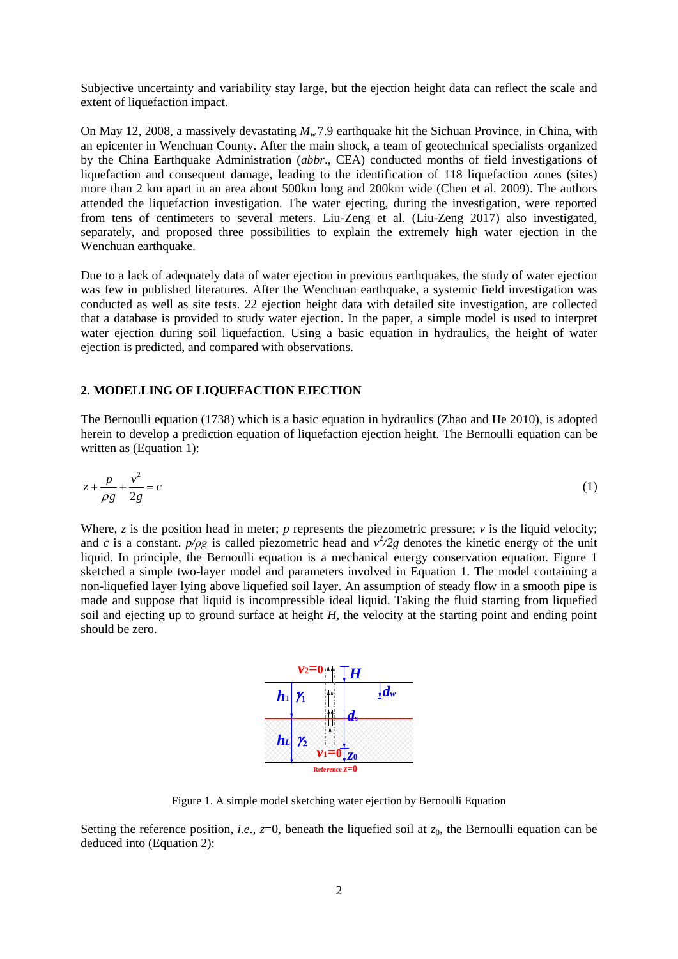Subjective uncertainty and variability stay large, but the ejection height data can reflect the scale and extent of liquefaction impact.

On May 12, 2008, a massively devastating *Mw* 7.9 earthquake hit the Sichuan Province, in China, with an epicenter in Wenchuan County. After the main shock, a team of geotechnical specialists organized by the China Earthquake Administration (*abbr*., CEA) conducted months of field investigations of liquefaction and consequent damage, leading to the identification of 118 liquefaction zones (sites) more than 2 km apart in an area about 500km long and 200km wide (Chen et al. 2009). The authors attended the liquefaction investigation. The water ejecting, during the investigation, were reported from tens of centimeters to several meters. Liu-Zeng et al. (Liu-Zeng 2017) also investigated, separately, and proposed three possibilities to explain the extremely high water ejection in the Wenchuan earthquake.

Due to a lack of adequately data of water ejection in previous earthquakes, the study of water ejection was few in published literatures. After the Wenchuan earthquake, a systemic field investigation was conducted as well as site tests. 22 ejection height data with detailed site investigation, are collected that a database is provided to study water ejection. In the paper, a simple model is used to interpret water ejection during soil liquefaction. Using a basic equation in hydraulics, the height of water ejection is predicted, and compared with observations.

### **2. MODELLING OF LIQUEFACTION EJECTION**

The Bernoulli equation (1738) which is a basic equation in hydraulics (Zhao and He 2010), is adopted herein to develop a prediction equation of liquefaction ejection height. The Bernoulli equation can be written as (Equation 1):

$$
z + \frac{p}{\rho g} + \frac{v^2}{2g} = c \tag{1}
$$

Where,  $z$  is the position head in meter;  $p$  represents the piezometric pressure;  $v$  is the liquid velocity; and *c* is a constant.  $p/pg$  is called piezometric head and  $v^2/2g$  denotes the kinetic energy of the unit liquid. In principle, the Bernoulli equation is a mechanical energy conservation equation. Figure 1 sketched a simple two-layer model and parameters involved in Equation 1. The model containing a non-liquefied layer lying above liquefied soil layer. An assumption of steady flow in a smooth pipe is made and suppose that liquid is incompressible ideal liquid. Taking the fluid starting from liquefied soil and ejecting up to ground surface at height *H*, the velocity at the starting point and ending point should be zero.



Figure 1. A simple model sketching water ejection by Bernoulli Equation

Setting the reference position, *i.e.*,  $z=0$ , beneath the liquefied soil at  $z<sub>0</sub>$ , the Bernoulli equation can be deduced into (Equation 2):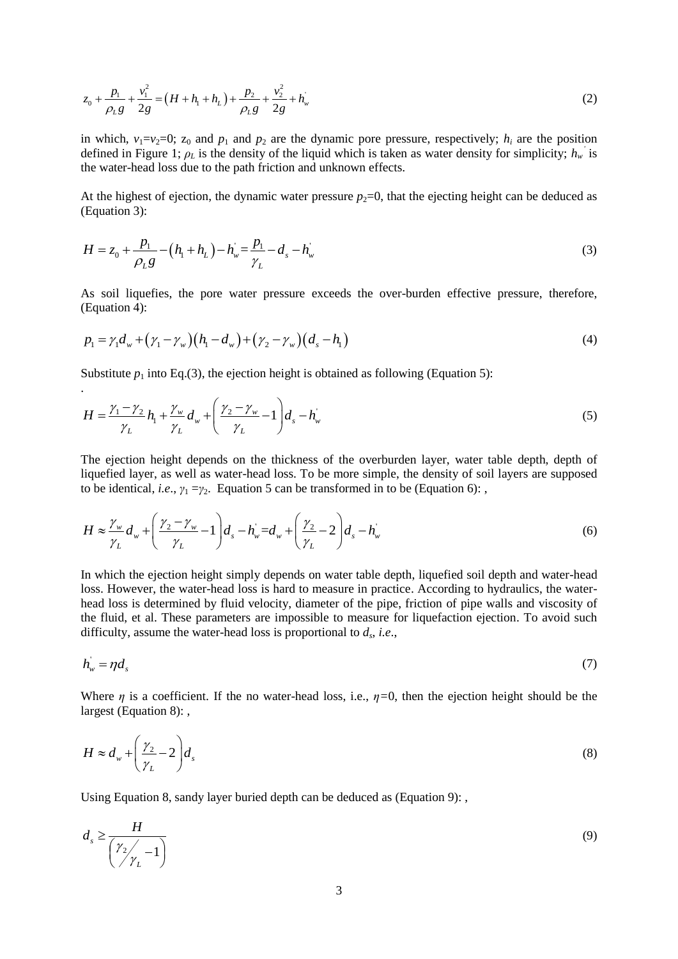$$
z_0 + \frac{p_1}{\rho_L g} + \frac{v_1^2}{2g} = \left(H + h_1 + h_L\right) + \frac{p_2}{\rho_L g} + \frac{v_2^2}{2g} + h_w^{\prime}
$$
\n(2)

in which,  $v_1=v_2=0$ ;  $z_0$  and  $p_1$  and  $p_2$  are the dynamic pore pressure, respectively;  $h_i$  are the position defined in Figure 1;  $\rho_L$  is the density of the liquid which is taken as water density for simplicity;  $h_w$ <sup>'</sup> is the water-head loss due to the path friction and unknown effects.

At the highest of ejection, the dynamic water pressure  $p_2=0$ , that the ejecting height can be deduced as (Equation 3):

$$
H = z_0 + \frac{p_1}{\rho_L g} - (h_1 + h_L) - h_w = \frac{p_1}{\gamma_L} - d_s - h_w
$$
\n(3)

As soil liquefies, the pore water pressure exceeds the over-burden effective pressure, therefore, (Equation 4):

(Equation 4):  
\n
$$
p_1 = \gamma_1 d_w + (\gamma_1 - \gamma_w)(h_1 - d_w) + (\gamma_2 - \gamma_w)(d_s - h_1)
$$
\n(4)

Substitute  $p_1$  into Eq.(3), the ejection height is obtained as following (Equation 5):

.

$$
H = \frac{\gamma_1 - \gamma_2}{\gamma_L} h_1 + \frac{\gamma_w}{\gamma_L} d_w + \left(\frac{\gamma_2 - \gamma_w}{\gamma_L} - 1\right) d_s - h_w
$$
\n(5)

The ejection height depends on the thickness of the overburden layer, water table depth, depth of liquefied layer, as well as water-head loss. To be more simple, the density of soil layers are supposed

to be identical, *i.e.*, 
$$
\gamma_1 = \gamma_2
$$
. Equation 5 can be transformed in to be (Equation 6):  
\n
$$
H \approx \frac{\gamma_w}{\gamma_L} d_w + \left(\frac{\gamma_2 - \gamma_w}{\gamma_L} - 1\right) d_s - h_w = d_w + \left(\frac{\gamma_2}{\gamma_L} - 2\right) d_s - h_w
$$
\n(6)

In which the ejection height simply depends on water table depth, liquefied soil depth and water-head loss. However, the water-head loss is hard to measure in practice. According to hydraulics, the waterhead loss is determined by fluid velocity, diameter of the pipe, friction of pipe walls and viscosity of the fluid, et al. These parameters are impossible to measure for liquefaction ejection. To avoid such difficulty, assume the water-head loss is proportional to *d<sup>s</sup>* , *i.e*.,

$$
h_{\nu} = \eta d_{s} \tag{7}
$$

Where *η* is a coefficient. If the no water-head loss, i.e.,  $\eta=0$ , then the ejection height should be the largest (Equation 8):

$$
H \approx d_w + \left(\frac{\gamma_2}{\gamma_L} - 2\right) d_s \tag{8}
$$

Using Equation 8, sandy layer buried depth can be deduced as (Equation 9): ,

$$
d_s \ge \frac{H}{\left(\frac{\gamma_2}{\gamma_L} - 1\right)}\tag{9}
$$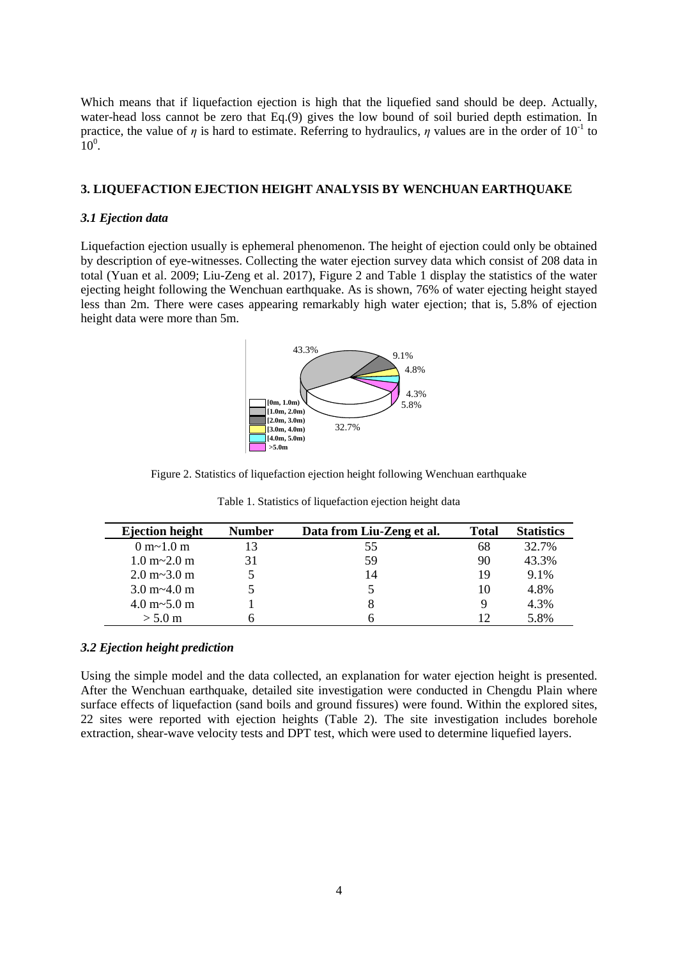Which means that if liquefaction ejection is high that the liquefied sand should be deep. Actually, water-head loss cannot be zero that Eq.(9) gives the low bound of soil buried depth estimation. In practice, the value of  $\eta$  is hard to estimate. Referring to hydraulics,  $\eta$  values are in the order of 10<sup>-1</sup> to  $10^0$ .

## **3. LIQUEFACTION EJECTION HEIGHT ANALYSIS BY WENCHUAN EARTHQUAKE**

# *3.1 Ejection data*

Liquefaction ejection usually is ephemeral phenomenon. The height of ejection could only be obtained by description of eye-witnesses. Collecting the water ejection survey data which consist of 208 data in total (Yuan et al. 2009; Liu-Zeng et al. 2017), Figure 2 and Table 1 display the statistics of the water ejecting height following the Wenchuan earthquake. As is shown, 76% of water ejecting height stayed less than 2m. There were cases appearing remarkably high water ejection; that is, 5.8% of ejection height data were more than 5m.



Figure 2. Statistics of liquefaction ejection height following Wenchuan earthquake

| <b>Ejection height</b>             | <b>Number</b> | Data from Liu-Zeng et al. | <b>Total</b> | <b>Statistics</b> |
|------------------------------------|---------------|---------------------------|--------------|-------------------|
| 0 m <sub>2</sub> 1.0 m             |               | 55                        | 68           | 32.7%             |
| $1.0 \text{ m} - 2.0 \text{ m}$    | 31            | 59                        | 90           | 43.3%             |
| $2.0 \text{ m} \sim 3.0 \text{ m}$ |               | 14                        | 19           | 9.1%              |
| $3.0 \text{ m} \sim 4.0 \text{ m}$ |               |                           | 10           | 4.8%              |
| $4.0 \text{ m}$ ~5.0 m             |               | 8                         | 9            | 4.3%              |
| $> 5.0 \text{ m}$                  |               |                           | 12           | 5.8%              |

Table 1. Statistics of liquefaction ejection height data

## *3.2 Ejection height prediction*

Using the simple model and the data collected, an explanation for water ejection height is presented. After the Wenchuan earthquake, detailed site investigation were conducted in Chengdu Plain where surface effects of liquefaction (sand boils and ground fissures) were found. Within the explored sites, 22 sites were reported with ejection heights (Table 2). The site investigation includes borehole extraction, shear-wave velocity tests and DPT test, which were used to determine liquefied layers.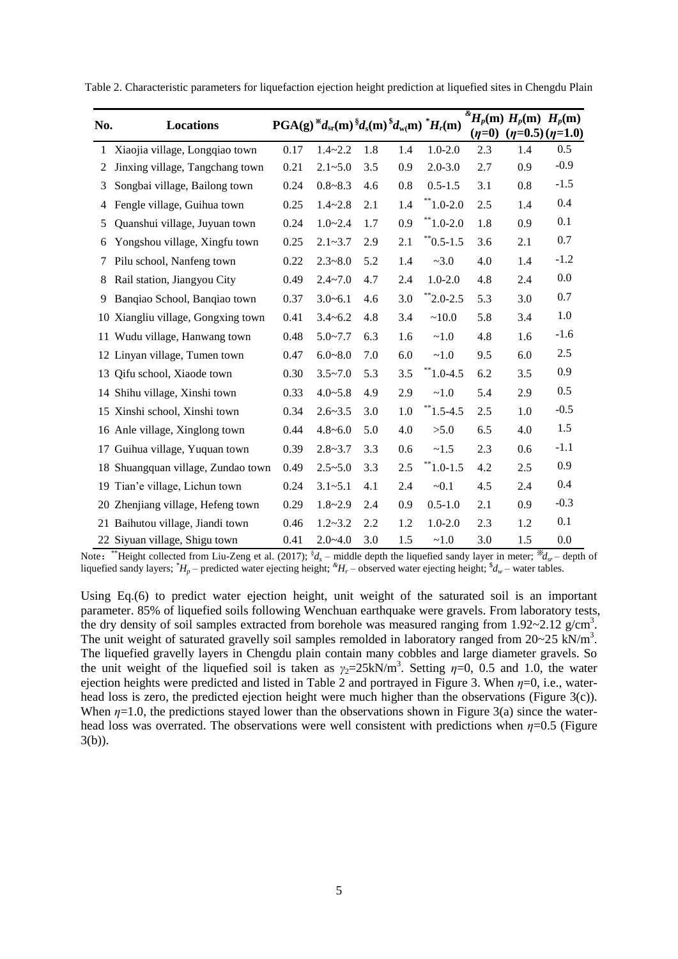| No. | Locations                          | $PGA(g)$ <sup>*</sup> $d_{sr}(m)$ <sup>§</sup> $d_s(m)$ <sup>§</sup> $d_{w}(m)$ <sup>*</sup> $H_r(m)$ |             |     |     |                   | $(\eta = 0)$ | $\sqrt[\frac{k}{2}]{H_p(\text{m})}$ $H_p(\text{m})$ $H_p(\text{m})$ | $(\eta=0.5)$ ( $\eta=1.0$ ) |
|-----|------------------------------------|-------------------------------------------------------------------------------------------------------|-------------|-----|-----|-------------------|--------------|---------------------------------------------------------------------|-----------------------------|
| 1   | Xiaojia village, Longqiao town     | 0.17                                                                                                  | $1.4 - 2.2$ | 1.8 | 1.4 | $1.0 - 2.0$       | 2.3          | 1.4                                                                 | 0.5                         |
| 2   | Jinxing village, Tangchang town    | 0.21                                                                                                  | $2.1 - 5.0$ | 3.5 | 0.9 | $2.0 - 3.0$       | 2.7          | 0.9                                                                 | $-0.9$                      |
| 3   | Songbai village, Bailong town      | 0.24                                                                                                  | $0.8 - 8.3$ | 4.6 | 0.8 | $0.5 - 1.5$       | 3.1          | 0.8                                                                 | $-1.5$                      |
| 4   | Fengle village, Guihua town        | 0.25                                                                                                  | $1.4 - 2.8$ | 2.1 | 1.4 | $*$ 1.0-2.0       | 2.5          | 1.4                                                                 | 0.4                         |
| 5   | Quanshui village, Juyuan town      | 0.24                                                                                                  | $1.0 - 2.4$ | 1.7 | 0.9 | $*1.0 - 2.0$      | 1.8          | 0.9                                                                 | 0.1                         |
| 6   | Yongshou village, Xingfu town      | 0.25                                                                                                  | $2.1 - 3.7$ | 2.9 | 2.1 | $\degree$ 0.5-1.5 | 3.6          | 2.1                                                                 | 0.7                         |
| 7   | Pilu school, Nanfeng town          | 0.22                                                                                                  | $2.3 - 8.0$ | 5.2 | 1.4 | ~23.0             | 4.0          | 1.4                                                                 | $-1.2$                      |
| 8   | Rail station, Jiangyou City        | 0.49                                                                                                  | $2.4 - 7.0$ | 4.7 | 2.4 | $1.0 - 2.0$       | 4.8          | 2.4                                                                 | 0.0                         |
| 9   | Banqiao School, Banqiao town       | 0.37                                                                                                  | $3.0 - 6.1$ | 4.6 | 3.0 | $*$ 2.0-2.5       | 5.3          | 3.0                                                                 | 0.7                         |
|     | 10 Xiangliu village, Gongxing town | 0.41                                                                                                  | $3.4 - 6.2$ | 4.8 | 3.4 | ~10.0             | 5.8          | 3.4                                                                 | 1.0                         |
|     | 11 Wudu village, Hanwang town      | 0.48                                                                                                  | $5.0 - 7.7$ | 6.3 | 1.6 | ~1.0              | 4.8          | 1.6                                                                 | $-1.6$                      |
|     | 12 Linyan village, Tumen town      | 0.47                                                                                                  | $6.0 - 8.0$ | 7.0 | 6.0 | ~1.0              | 9.5          | 6.0                                                                 | 2.5                         |
|     | 13 Qifu school, Xiaode town        | 0.30                                                                                                  | $3.5 - 7.0$ | 5.3 | 3.5 | $*1.0-4.5$        | 6.2          | 3.5                                                                 | 0.9                         |
|     | 14 Shihu village, Xinshi town      | 0.33                                                                                                  | $4.0 - 5.8$ | 4.9 | 2.9 | ~1.0              | 5.4          | 2.9                                                                 | 0.5                         |
|     | 15 Xinshi school, Xinshi town      | 0.34                                                                                                  | $2.6 - 3.5$ | 3.0 | 1.0 | $*1.5 - 4.5$      | 2.5          | 1.0                                                                 | $-0.5$                      |
|     | 16 Anle village, Xinglong town     | 0.44                                                                                                  | $4.8 - 6.0$ | 5.0 | 4.0 | >5.0              | 6.5          | 4.0                                                                 | 1.5                         |
|     | 17 Guihua village, Yuquan town     | 0.39                                                                                                  | $2.8 - 3.7$ | 3.3 | 0.6 | ~1.5              | 2.3          | 0.6                                                                 | $-1.1$                      |
|     | 18 Shuangquan village, Zundao town | 0.49                                                                                                  | $2.5 - 5.0$ | 3.3 | 2.5 | $*$ 1.0-1.5       | 4.2          | 2.5                                                                 | 0.9                         |
|     | 19 Tian'e village, Lichun town     | 0.24                                                                                                  | $3.1 - 5.1$ | 4.1 | 2.4 | $-0.1$            | 4.5          | 2.4                                                                 | 0.4                         |
|     | 20 Zhenjiang village, Hefeng town  | 0.29                                                                                                  | $1.8 - 2.9$ | 2.4 | 0.9 | $0.5 - 1.0$       | 2.1          | 0.9                                                                 | $-0.3$                      |
|     | 21 Baihutou village, Jiandi town   | 0.46                                                                                                  | $1.2 - 3.2$ | 2.2 | 1.2 | $1.0 - 2.0$       | 2.3          | 1.2                                                                 | 0.1                         |
|     | 22 Siyuan village, Shigu town      | 0.41                                                                                                  | $2.0 - 4.0$ | 3.0 | 1.5 | ~1.0              | 3.0          | 1.5                                                                 | 0.0                         |

Table 2. Characteristic parameters for liquefaction ejection height prediction at liquefied sites in Chengdu Plain

Note: \*\*Height collected from Liu-Zeng et al. (2017);  $^{8}d_s$  – middle depth the liquefied sandy layer in meter;  $^{8}d_{sr}$  – depth of liquefied sandy layers; *\*H<sup>p</sup>* – predicted water ejecting height; *&H<sup>r</sup>* – observed water ejecting height; \$ *d<sup>w</sup>* – water tables.

Using Eq.(6) to predict water ejection height, unit weight of the saturated soil is an important parameter. 85% of liquefied soils following Wenchuan earthquake were gravels. From laboratory tests, the dry density of soil samples extracted from borehole was measured ranging from  $1.92 \div 2.12$  g/cm<sup>3</sup>. The unit weight of saturated gravelly soil samples remolded in laboratory ranged from  $20~25$  kN/m<sup>3</sup>. The liquefied gravelly layers in Chengdu plain contain many cobbles and large diameter gravels. So the unit weight of the liquefied soil is taken as  $\gamma_2 = 25 \text{kN/m}^3$ . Setting  $\eta = 0$ , 0.5 and 1.0, the water ejection heights were predicted and listed in Table 2 and portrayed in Figure 3. When *η*=0, i.e., waterhead loss is zero, the predicted ejection height were much higher than the observations (Figure 3(c)). When  $\eta$ =1.0, the predictions stayed lower than the observations shown in Figure 3(a) since the waterhead loss was overrated. The observations were well consistent with predictions when  $\eta$ =0.5 (Figure 3(b)).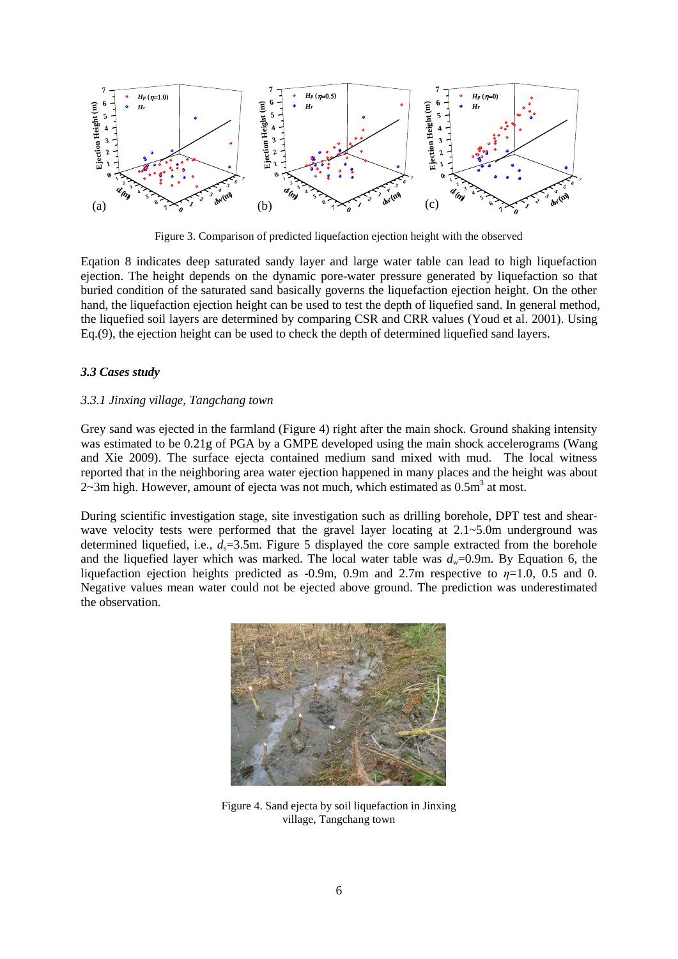

Figure 3. Comparison of predicted liquefaction ejection height with the observed

Eqation 8 indicates deep saturated sandy layer and large water table can lead to high liquefaction ejection. The height depends on the dynamic pore-water pressure generated by liquefaction so that buried condition of the saturated sand basically governs the liquefaction ejection height. On the other hand, the liquefaction ejection height can be used to test the depth of liquefied sand. In general method, the liquefied soil layers are determined by comparing CSR and CRR values (Youd et al. 2001). Using Eq.(9), the ejection height can be used to check the depth of determined liquefied sand layers.

# *3.3 Cases study*

# *3.3.1 Jinxing village, Tangchang town*

Grey sand was ejected in the farmland (Figure 4) right after the main shock. Ground shaking intensity was estimated to be 0.21g of PGA by a GMPE developed using the main shock accelerograms (Wang and Xie 2009). The surface ejecta contained medium sand mixed with mud. The local witness reported that in the neighboring area water ejection happened in many places and the height was about  $2\overline{-3}$ m high. However, amount of ejecta was not much, which estimated as  $0.5\text{m}^3$  at most.

During scientific investigation stage, site investigation such as drilling borehole, DPT test and shearwave velocity tests were performed that the gravel layer locating at  $2.1 \sim 5.0$ m underground was determined liquefied, i.e.,  $d_s = 3.5$ m. Figure 5 displayed the core sample extracted from the borehole and the liquefied layer which was marked. The local water table was  $d_w=0.9$ m. By Equation 6, the liquefaction ejection heights predicted as -0.9m, 0.9m and 2.7m respective to *η*=1.0, 0.5 and 0. Negative values mean water could not be ejected above ground. The prediction was underestimated the observation.



Figure 4. Sand ejecta by soil liquefaction in Jinxing village, Tangchang town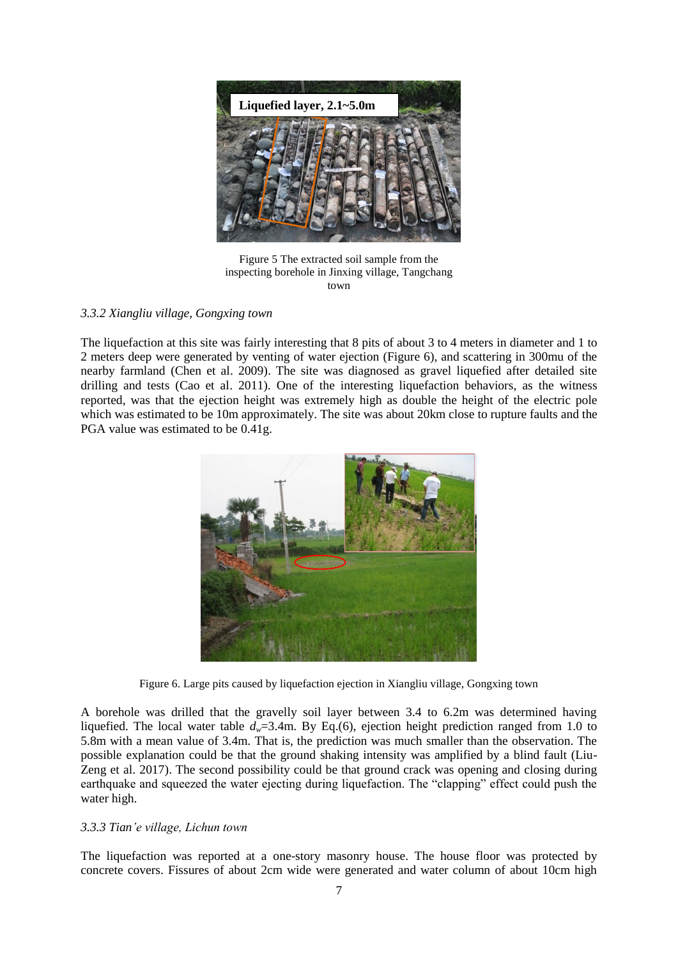

Figure 5 The extracted soil sample from the inspecting borehole in Jinxing village, Tangchang town

# *3.3.2 Xiangliu village, Gongxing town*

The liquefaction at this site was fairly interesting that 8 pits of about 3 to 4 meters in diameter and 1 to 2 meters deep were generated by venting of water ejection (Figure 6), and scattering in 300mu of the nearby farmland (Chen et al. 2009). The site was diagnosed as gravel liquefied after detailed site drilling and tests (Cao et al. 2011). One of the interesting liquefaction behaviors, as the witness reported, was that the ejection height was extremely high as double the height of the electric pole which was estimated to be 10m approximately. The site was about 20km close to rupture faults and the PGA value was estimated to be 0.41g.



Figure 6. Large pits caused by liquefaction ejection in Xiangliu village, Gongxing town

A borehole was drilled that the gravelly soil layer between 3.4 to 6.2m was determined having liquefied. The local water table *dw*=3.4m. By Eq.(6), ejection height prediction ranged from 1.0 to 5.8m with a mean value of 3.4m. That is, the prediction was much smaller than the observation. The possible explanation could be that the ground shaking intensity was amplified by a blind fault (Liu-Zeng et al. 2017). The second possibility could be that ground crack was opening and closing during earthquake and squeezed the water ejecting during liquefaction. The "clapping" effect could push the water high.

# *3.3.3 Tian'e village, Lichun town*

The liquefaction was reported at a one-story masonry house. The house floor was protected by concrete covers. Fissures of about 2cm wide were generated and water column of about 10cm high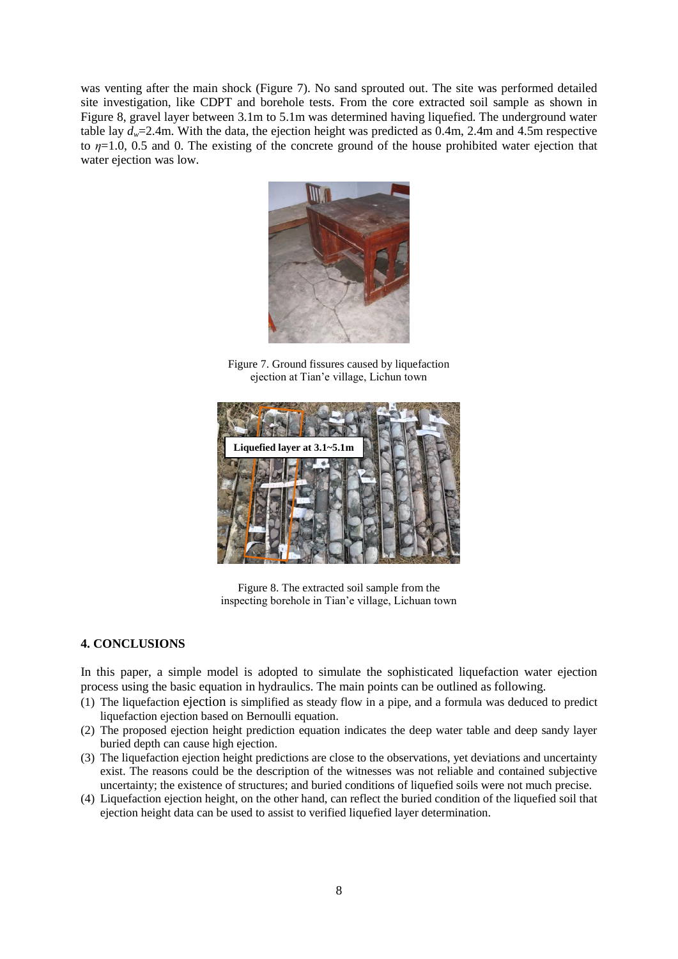was venting after the main shock (Figure 7). No sand sprouted out. The site was performed detailed site investigation, like CDPT and borehole tests. From the core extracted soil sample as shown in Figure 8, gravel layer between 3.1m to 5.1m was determined having liquefied. The underground water table lay  $d_w$ =2.4m. With the data, the ejection height was predicted as 0.4m, 2.4m and 4.5m respective to *η*=1.0, 0.5 and 0. The existing of the concrete ground of the house prohibited water ejection that water ejection was low.



Figure 7. Ground fissures caused by liquefaction ejection at Tian'e village, Lichun town



Figure 8. The extracted soil sample from the inspecting borehole in Tian'e village, Lichuan town

# **4. CONCLUSIONS**

In this paper, a simple model is adopted to simulate the sophisticated liquefaction water ejection process using the basic equation in hydraulics. The main points can be outlined as following.

- (1) The liquefaction ejection is simplified as steady flow in a pipe, and a formula was deduced to predict liquefaction ejection based on Bernoulli equation.
- (2) The proposed ejection height prediction equation indicates the deep water table and deep sandy layer buried depth can cause high ejection.
- (3) The liquefaction ejection height predictions are close to the observations, yet deviations and uncertainty exist. The reasons could be the description of the witnesses was not reliable and contained subjective uncertainty; the existence of structures; and buried conditions of liquefied soils were not much precise.
- (4) Liquefaction ejection height, on the other hand, can reflect the buried condition of the liquefied soil that ejection height data can be used to assist to verified liquefied layer determination.